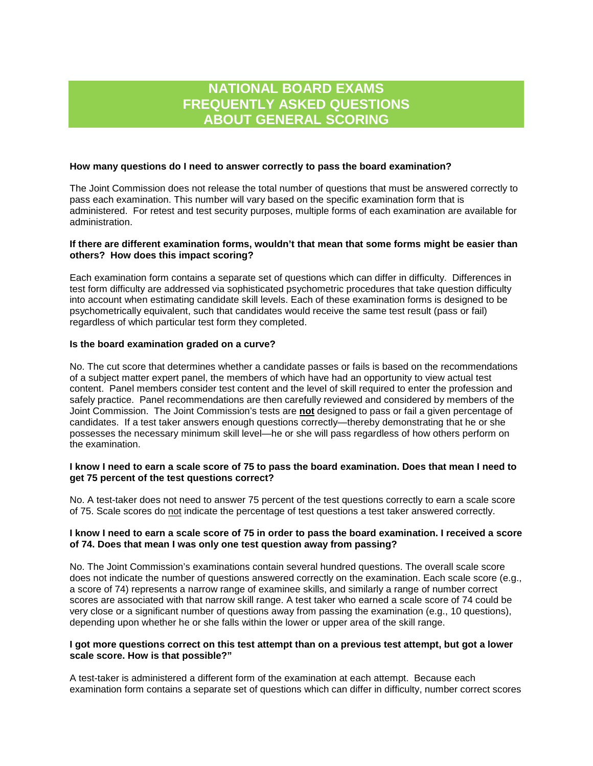# **NATIONAL BOARD EXAMS FREQUENTLY ASKED QUESTIONS ABOUT GENERAL SCORING**

#### **How many questions do I need to answer correctly to pass the board examination?**

The Joint Commission does not release the total number of questions that must be answered correctly to pass each examination. This number will vary based on the specific examination form that is administered. For retest and test security purposes, multiple forms of each examination are available for administration.

### **If there are different examination forms, wouldn't that mean that some forms might be easier than others? How does this impact scoring?**

Each examination form contains a separate set of questions which can differ in difficulty. Differences in test form difficulty are addressed via sophisticated psychometric procedures that take question difficulty into account when estimating candidate skill levels. Each of these examination forms is designed to be psychometrically equivalent, such that candidates would receive the same test result (pass or fail) regardless of which particular test form they completed.

#### **Is the board examination graded on a curve?**

No. The cut score that determines whether a candidate passes or fails is based on the recommendations of a subject matter expert panel, the members of which have had an opportunity to view actual test content. Panel members consider test content and the level of skill required to enter the profession and safely practice. Panel recommendations are then carefully reviewed and considered by members of the Joint Commission. The Joint Commission's tests are **not** designed to pass or fail a given percentage of candidates. If a test taker answers enough questions correctly—thereby demonstrating that he or she possesses the necessary minimum skill level—he or she will pass regardless of how others perform on the examination.

#### **I know I need to earn a scale score of 75 to pass the board examination. Does that mean I need to get 75 percent of the test questions correct?**

No. A test-taker does not need to answer 75 percent of the test questions correctly to earn a scale score of 75. Scale scores do not indicate the percentage of test questions a test taker answered correctly.

#### **I know I need to earn a scale score of 75 in order to pass the board examination. I received a score of 74. Does that mean I was only one test question away from passing?**

No. The Joint Commission's examinations contain several hundred questions. The overall scale score does not indicate the number of questions answered correctly on the examination. Each scale score (e.g., a score of 74) represents a narrow range of examinee skills, and similarly a range of number correct scores are associated with that narrow skill range. A test taker who earned a scale score of 74 could be very close or a significant number of questions away from passing the examination (e.g., 10 questions), depending upon whether he or she falls within the lower or upper area of the skill range.

#### **I got more questions correct on this test attempt than on a previous test attempt, but got a lower scale score. How is that possible?"**

A test-taker is administered a different form of the examination at each attempt. Because each examination form contains a separate set of questions which can differ in difficulty, number correct scores